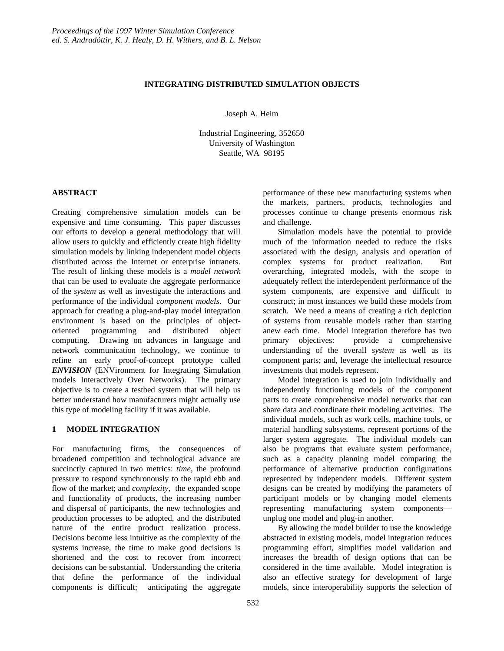### **INTEGRATING DISTRIBUTED SIMULATION OBJECTS**

Joseph A. Heim

Industrial Engineering, 352650 University of Washington Seattle, WA 98195

## **ABSTRACT**

Creating comprehensive simulation models can be expensive and time consuming. This paper discusses our efforts to develop a general methodology that will allow users to quickly and efficiently create high fidelity simulation models by linking independent model objects distributed across the Internet or enterprise intranets. The result of linking these models is a *model network* that can be used to evaluate the aggregate performance of the *system* as well as investigate the interactions and performance of the individual *component models*. Our approach for creating a plug-and-play model integration environment is based on the principles of objectoriented programming and distributed object computing. Drawing on advances in language and network communication technology, we continue to refine an early proof-of-concept prototype called *ENVISION* (ENVironment for Integrating Simulation models Interactively Over Networks). The primary objective is to create a testbed system that will help us better understand how manufacturers might actually use this type of modeling facility if it was available.

# **1 MODEL INTEGRATION**

For manufacturing firms, the consequences of broadened competition and technological advance are succinctly captured in two metrics: *time*, the profound pressure to respond synchronously to the rapid ebb and flow of the market; and *complexity*, the expanded scope and functionality of products, the increasing number and dispersal of participants, the new technologies and production processes to be adopted, and the distributed nature of the entire product realization process. Decisions become less intuitive as the complexity of the systems increase, the time to make good decisions is shortened and the cost to recover from incorrect decisions can be substantial. Understanding the criteria that define the performance of the individual components is difficult; anticipating the aggregate performance of these new manufacturing systems when the markets, partners, products, technologies and processes continue to change presents enormous risk and challenge.

Simulation models have the potential to provide much of the information needed to reduce the risks associated with the design, analysis and operation of complex systems for product realization. But overarching, integrated models, with the scope to adequately reflect the interdependent performance of the system components, are expensive and difficult to construct; in most instances we build these models from scratch. We need a means of creating a rich depiction of systems from reusable models rather than starting anew each time. Model integration therefore has two primary objectives: provide a comprehensive understanding of the overall *system* as well as its component parts; and, leverage the intellectual resource investments that models represent.

Model integration is used to join individually and independently functioning models of the component parts to create comprehensive model networks that can share data and coordinate their modeling activities. The individual models, such as work cells, machine tools, or material handling subsystems, represent portions of the larger system aggregate. The individual models can also be programs that evaluate system performance, such as a capacity planning model comparing the performance of alternative production configurations represented by independent models. Different system designs can be created by modifying the parameters of participant models or by changing model elements representing manufacturing system components unplug one model and plug-in another.

By allowing the model builder to use the knowledge abstracted in existing models, model integration reduces programming effort, simplifies model validation and increases the breadth of design options that can be considered in the time available. Model integration is also an effective strategy for development of large models, since interoperability supports the selection of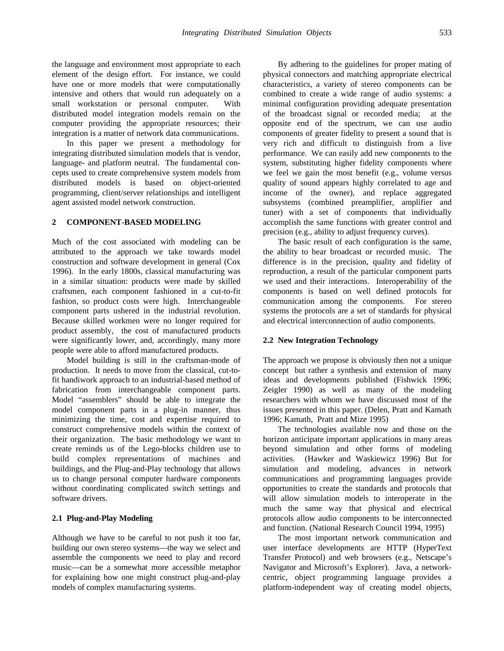the language and environment most appropriate to each element of the design effort. For instance, we could have one or more models that were computationally intensive and others that would run adequately on a small workstation or personal computer. With distributed model integration models remain on the computer providing the appropriate resources; their integration is a matter of network data communications.

In this paper we present a methodology for integrating distributed simulation models that is vendor, language- and platform neutral. The fundamental concepts used to create comprehensive system models from distributed models is based on object-oriented programming, client/server relationships and intelligent agent assisted model network construction.

### **2 COMPONENT-BASED MODELING**

Much of the cost associated with modeling can be attributed to the approach we take towards model construction and software development in general (Cox 1996). In the early 1800s, classical manufacturing was in a similar situation: products were made by skilled craftsmen, each component fashioned in a cut-to-fit fashion, so product costs were high. Interchangeable component parts ushered in the industrial revolution. Because skilled workmen were no longer required for product assembly, the cost of manufactured products were significantly lower, and, accordingly, many more people were able to afford manufactured products.

Model building is still in the craftsman-mode of production. It needs to move from the classical, cut-tofit handiwork approach to an industrial-based method of fabrication from interchangeable component parts. Model "assemblers" should be able to integrate the model component parts in a plug-in manner, thus minimizing the time, cost and expertise required to construct comprehensive models within the context of their organization. The basic methodology we want to create reminds us of the Lego-blocks children use to build complex representations of machines and buildings, and the Plug-and-Play technology that allows us to change personal computer hardware components without coordinating complicated switch settings and software drivers.

#### **2.1 Plug-and-Play Modeling**

Although we have to be careful to not push it too far, building our own stereo systems—the way we select and assemble the components we need to play and record music—can be a somewhat more accessible metaphor for explaining how one might construct plug-and-play models of complex manufacturing systems.

By adhering to the guidelines for proper mating of physical connectors and matching appropriate electrical characteristics, a variety of stereo components can be combined to create a wide range of audio systems: a minimal configuration providing adequate presentation of the broadcast signal or recorded media; at the opposite end of the spectrum, we can use audio components of greater fidelity to present a sound that is very rich and difficult to distinguish from a live performance. We can easily add new components to the system, substituting higher fidelity components where we feel we gain the most benefit (e.g., volume versus quality of sound appears highly correlated to age and income of the owner), and replace aggregated subsystems (combined preamplifier, amplifier and tuner) with a set of components that individually accomplish the same functions with greater control and precision (e.g., ability to adjust frequency curves).

The basic result of each configuration is the same, the ability to hear broadcast or recorded music. The difference is in the precision, quality and fidelity of reproduction, a result of the particular component parts we used and their interactions. Interoperability of the components is based on well defined protocols for communication among the components. For stereo systems the protocols are a set of standards for physical and electrical interconnection of audio components.

#### **2.2 New Integration Technology**

The approach we propose is obviously then not a unique concept but rather a synthesis and extension of many ideas and developments published (Fishwick 1996; Zeigler 1990) as well as many of the modeling researchers with whom we have discussed most of the issues presented in this paper. (Delen, Pratt and Kamath 1996; Kamath, Pratt and Mize 1995)

The technologies available now and those on the horizon anticipate important applications in many areas beyond simulation and other forms of modeling activities. (Hawker and Waskiewicz 1996) But for simulation and modeling, advances in network communications and programming languages provide opportunities to create the standards and protocols that will allow simulation models to interoperate in the much the same way that physical and electrical protocols allow audio components to be interconnected and function. (National Research Council 1994, 1995)

The most important network communication and user interface developments are HTTP (HyperText Transfer Protocol) and web browsers (e.g., Netscape's Navigator and Microsoft's Explorer). Java, a networkcentric, object programming language provides a platform-independent way of creating model objects,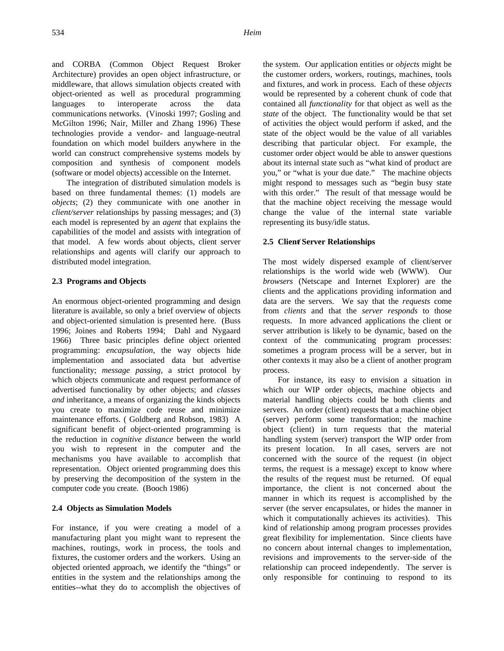and CORBA (Common Object Request Broker Architecture) provides an open object infrastructure, or middleware, that allows simulation objects created with object-oriented as well as procedural programming languages to interoperate across the data communications networks. (Vinoski 1997; Gosling and McGilton 1996; Nair, Miller and Zhang 1996) These technologies provide a vendor- and language-neutral foundation on which model builders anywhere in the world can construct comprehensive systems models by composition and synthesis of component models (software or model objects) accessible on the Internet.

The integration of distributed simulation models is based on three fundamental themes: (1) models are *objects*; (2) they communicate with one another in *client/server* relationships by passing messages; and (3) each model is represented by an *agent* that explains the capabilities of the model and assists with integration of that model. A few words about objects, client server relationships and agents will clarify our approach to distributed model integration.

### **2.3 Programs and Objects**

An enormous object-oriented programming and design literature is available, so only a brief overview of objects and object-oriented simulation is presented here. (Buss 1996; Joines and Roberts 1994; Dahl and Nygaard 1966) Three basic principles define object oriented programming: *encapsulation*, the way objects hide implementation and associated data but advertise functionality; *message passing*, a strict protocol by which objects communicate and request performance of advertised functionality by other objects; and *classes and* inheritance, a means of organizing the kinds objects you create to maximize code reuse and minimize maintenance efforts. ( Goldberg and Robson, 1983) A significant benefit of object-oriented programming is the reduction in *cognitive distance* between the world you wish to represent in the computer and the mechanisms you have available to accomplish that representation. Object oriented programming does this by preserving the decomposition of the system in the computer code you create. (Booch 1986)

#### **2.4 Objects as Simulation Models**

For instance, if you were creating a model of a manufacturing plant you might want to represent the machines, routings, work in process, the tools and fixtures, the customer orders and the workers. Using an objected oriented approach, we identify the "things" or entities in the system and the relationships among the entities--what they do to accomplish the objectives of

the system. Our application entities or *objects* might be the customer orders, workers, routings, machines, tools and fixtures, and work in process. Each of these *objects* would be represented by a coherent chunk of code that contained all *functionality* for that object as well as the *state* of the object. The functionality would be that set of activities the object would perform if asked, and the state of the object would be the value of all variables describing that particular object. For example, the customer order object would be able to answer questions about its internal state such as "what kind of product are you," or "what is your due date." The machine objects might respond to messages such as "begin busy state with this order." The result of that message would be that the machine object receiving the message would change the value of the internal state variable representing its busy/idle status.

#### **2.5 Client/ Server Relationships**

The most widely dispersed example of client/server relationships is the world wide web (WWW). Our *browsers* (Netscape and Internet Explorer) are the clients and the applications providing information and data are the servers. We say that the *requests* come from *clients* and that the *server responds* to those requests. In more advanced applications the client or server attribution is likely to be dynamic, based on the context of the communicating program processes: sometimes a program process will be a server, but in other contexts it may also be a client of another program process.

For instance, its easy to envision a situation in which our WIP order objects, machine objects and material handling objects could be both clients and servers. An order (client) requests that a machine object (server) perform some transformation; the machine object (client) in turn requests that the material handling system (server) transport the WIP order from its present location. In all cases, servers are not concerned with the source of the request (in object terms, the request is a message) except to know where the results of the request must be returned. Of equal importance, the client is not concerned about the manner in which its request is accomplished by the server (the server encapsulates, or hides the manner in which it computationally achieves its activities). This kind of relationship among program processes provides great flexibility for implementation. Since clients have no concern about internal changes to implementation, revisions and improvements to the server-side of the relationship can proceed independently. The server is only responsible for continuing to respond to its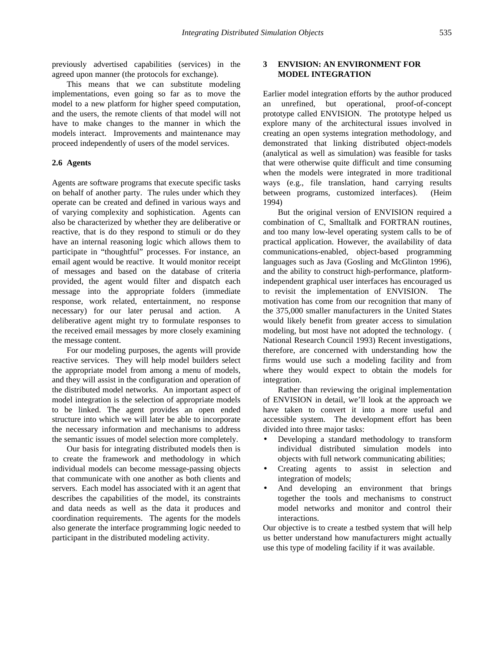previously advertised capabilities (services) in the agreed upon manner (the protocols for exchange).

This means that we can substitute modeling implementations, even going so far as to move the model to a new platform for higher speed computation, and the users, the remote clients of that model will not have to make changes to the manner in which the models interact. Improvements and maintenance may proceed independently of users of the model services.

### **2.6 Agents**

Agents are software programs that execute specific tasks on behalf of another party. The rules under which they operate can be created and defined in various ways and of varying complexity and sophistication. Agents can also be characterized by whether they are deliberative or reactive, that is do they respond to stimuli or do they have an internal reasoning logic which allows them to participate in "thoughtful" processes. For instance, an email agent would be reactive. It would monitor receipt of messages and based on the database of criteria provided, the agent would filter and dispatch each message into the appropriate folders (immediate response, work related, entertainment, no response necessary) for our later perusal and action. A deliberative agent might try to formulate responses to the received email messages by more closely examining the message content.

For our modeling purposes, the agents will provide reactive services. They will help model builders select the appropriate model from among a menu of models, and they will assist in the configuration and operation of the distributed model networks. An important aspect of model integration is the selection of appropriate models to be linked. The agent provides an open ended structure into which we will later be able to incorporate the necessary information and mechanisms to address the semantic issues of model selection more completely.

Our basis for integrating distributed models then is to create the framework and methodology in which individual models can become message-passing objects that communicate with one another as both clients and servers. Each model has associated with it an agent that describes the capabilities of the model, its constraints and data needs as well as the data it produces and coordination requirements. The agents for the models also generate the interface programming logic needed to participant in the distributed modeling activity.

## **3 ENVISION: AN ENVIRONMENT FOR MODEL INTEGRATION**

Earlier model integration efforts by the author produced an unrefined, but operational, proof-of-concept prototype called ENVISION. The prototype helped us explore many of the architectural issues involved in creating an open systems integration methodology, and demonstrated that linking distributed object-models (analytical as well as simulation) was feasible for tasks that were otherwise quite difficult and time consuming when the models were integrated in more traditional ways (e.g., file translation, hand carrying results between programs, customized interfaces). (Heim 1994)

But the original version of ENVISION required a combination of C, Smalltalk and FORTRAN routines, and too many low-level operating system calls to be of practical application. However, the availability of data communications-enabled, object-based programming languages such as Java (Gosling and McGlinton 1996), and the ability to construct high-performance, platformindependent graphical user interfaces has encouraged us to revisit the implementation of ENVISION. The motivation has come from our recognition that many of the 375,000 smaller manufacturers in the United States would likely benefit from greater access to simulation modeling, but most have not adopted the technology. ( National Research Council 1993) Recent investigations, therefore, are concerned with understanding how the firms would use such a modeling facility and from where they would expect to obtain the models for integration.

Rather than reviewing the original implementation of ENVISION in detail, we'll look at the approach we have taken to convert it into a more useful and accessible system. The development effort has been divided into three major tasks:

- Developing a standard methodology to transform individual distributed simulation models into objects with full network communicating abilities;
- Creating agents to assist in selection and integration of models;
- And developing an environment that brings together the tools and mechanisms to construct model networks and monitor and control their interactions.

Our objective is to create a testbed system that will help us better understand how manufacturers might actually use this type of modeling facility if it was available.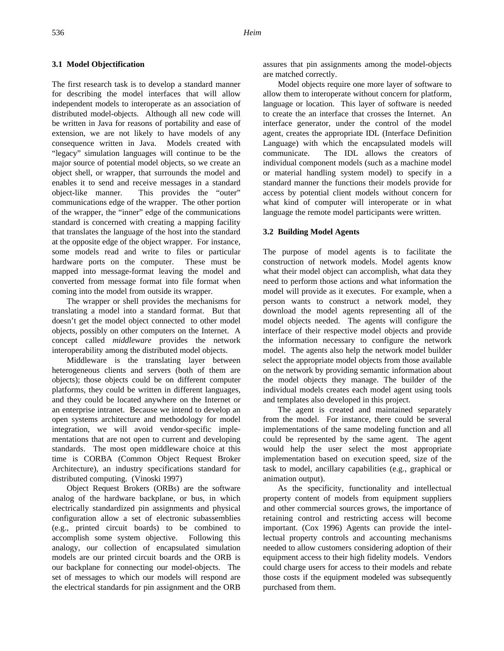## **3.1 Model Objectification**

The first research task is to develop a standard manner for describing the model interfaces that will allow independent models to interoperate as an association of distributed model-objects. Although all new code will be written in Java for reasons of portability and ease of extension, we are not likely to have models of any consequence written in Java. Models created with "legacy" simulation languages will continue to be the major source of potential model objects, so we create an object shell, or wrapper, that surrounds the model and enables it to send and receive messages in a standard object-like manner. This provides the "outer" communications edge of the wrapper. The other portion of the wrapper, the "inner" edge of the communications standard is concerned with creating a mapping facility that translates the language of the host into the standard at the opposite edge of the object wrapper. For instance, some models read and write to files or particular hardware ports on the computer. These must be mapped into message-format leaving the model and converted from message format into file format when coming into the model from outside its wrapper.

The wrapper or shell provides the mechanisms for translating a model into a standard format. But that doesn't get the model object connected to other model objects, possibly on other computers on the Internet. A concept called *middleware* provides the network interoperability among the distributed model objects.

Middleware is the translating layer between heterogeneous clients and servers (both of them are objects); those objects could be on different computer platforms, they could be written in different languages, and they could be located anywhere on the Internet or an enterprise intranet. Because we intend to develop an open systems architecture and methodology for model integration, we will avoid vendor-specific implementations that are not open to current and developing standards. The most open middleware choice at this time is CORBA (Common Object Request Broker Architecture), an industry specifications standard for distributed computing. (Vinoski 1997)

Object Request Brokers (ORBs) are the software analog of the hardware backplane, or bus, in which electrically standardized pin assignments and physical configuration allow a set of electronic subassemblies (e.g., printed circuit boards) to be combined to accomplish some system objective. Following this analogy, our collection of encapsulated simulation models are our printed circuit boards and the ORB is our backplane for connecting our model-objects. The set of messages to which our models will respond are the electrical standards for pin assignment and the ORB

assures that pin assignments among the model-objects are matched correctly.

Model objects require one more layer of software to allow them to interoperate without concern for platform, language or location. This layer of software is needed to create the an interface that crosses the Internet. An interface generator, under the control of the model agent, creates the appropriate IDL (Interface Definition Language) with which the encapsulated models will communicate. The IDL allows the creators of individual component models (such as a machine model or material handling system model) to specify in a standard manner the functions their models provide for access by potential client models without concern for what kind of computer will interoperate or in what language the remote model participants were written.

# **3.2 Building Model Agents**

The purpose of model agents is to facilitate the construction of network models. Model agents know what their model object can accomplish, what data they need to perform those actions and what information the model will provide as it executes. For example, when a person wants to construct a network model, they download the model agents representing all of the model objects needed. The agents will configure the interface of their respective model objects and provide the information necessary to configure the network model. The agents also help the network model builder select the appropriate model objects from those available on the network by providing semantic information about the model objects they manage. The builder of the individual models creates each model agent using tools and templates also developed in this project.

The agent is created and maintained separately from the model. For instance, there could be several implementations of the same modeling function and all could be represented by the same agent. The agent would help the user select the most appropriate implementation based on execution speed, size of the task to model, ancillary capabilities (e.g., graphical or animation output).

As the specificity, functionality and intellectual property content of models from equipment suppliers and other commercial sources grows, the importance of retaining control and restricting access will become important. (Cox 1996) Agents can provide the intellectual property controls and accounting mechanisms needed to allow customers considering adoption of their equipment access to their high fidelity models. Vendors could charge users for access to their models and rebate those costs if the equipment modeled was subsequently purchased from them.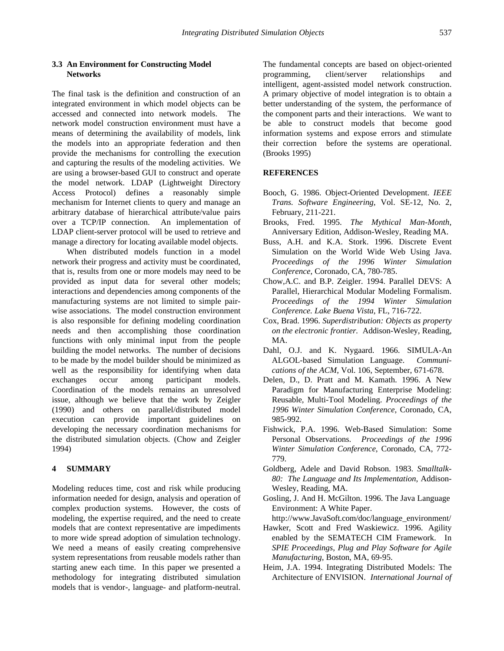# **3.3 An Environment for Constructing Model Networks**

The final task is the definition and construction of an integrated environment in which model objects can be accessed and connected into network models. The network model construction environment must have a means of determining the availability of models, link the models into an appropriate federation and then provide the mechanisms for controlling the execution and capturing the results of the modeling activities. We are using a browser-based GUI to construct and operate the model network. LDAP (Lightweight Directory Access Protocol) defines a reasonably simple mechanism for Internet clients to query and manage an arbitrary database of hierarchical attribute/value pairs over a TCP/IP connection. An implementation of LDAP client-server protocol will be used to retrieve and manage a directory for locating available model objects.

When distributed models function in a model network their progress and activity must be coordinated, that is, results from one or more models may need to be provided as input data for several other models; interactions and dependencies among components of the manufacturing systems are not limited to simple pairwise associations. The model construction environment is also responsible for defining modeling coordination needs and then accomplishing those coordination functions with only minimal input from the people building the model networks. The number of decisions to be made by the model builder should be minimized as well as the responsibility for identifying when data exchanges occur among participant models. Coordination of the models remains an unresolved issue, although we believe that the work by Zeigler (1990) and others on parallel/distributed model execution can provide important guidelines on developing the necessary coordination mechanisms for the distributed simulation objects. (Chow and Zeigler 1994)

# **4 SUMMARY**

Modeling reduces time, cost and risk while producing information needed for design, analysis and operation of complex production systems. However, the costs of modeling, the expertise required, and the need to create models that are context representative are impediments to more wide spread adoption of simulation technology. We need a means of easily creating comprehensive system representations from reusable models rather than starting anew each time. In this paper we presented a methodology for integrating distributed simulation models that is vendor-, language- and platform-neutral.

The fundamental concepts are based on object-oriented programming, client/server relationships and intelligent, agent-assisted model network construction. A primary objective of model integration is to obtain a better understanding of the system, the performance of the component parts and their interactions. We want to be able to construct models that become good information systems and expose errors and stimulate their correction before the systems are operational. (Brooks 1995)

# **REFERENCES**

- Booch, G. 1986. Object-Oriented Development. *IEEE Trans. Software Engineering*, Vol. SE-12, No. 2, February, 211-221.
- Brooks, Fred. 1995. *The Mythical Man-Month*, Anniversary Edition, Addison-Wesley, Reading MA.
- Buss, A.H. and K.A. Stork. 1996. Discrete Event Simulation on the World Wide Web Using Java. *Proceedings of the 1996 Winter Simulation Conference*, Coronado, CA, 780-785.
- Chow,A.C. and B.P. Zeigler. 1994. Parallel DEVS: A Parallel, Hierarchical Modular Modeling Formalism. *Proceedings of the 1994 Winter Simulation Conference. Lake Buena Vista*, FL, 716-722.
- Cox, Brad. 1996. *Superdistribution: Objects as property on the electronic frontier.* Addison-Wesley, Reading, MA.
- Dahl, O.J. and K. Nygaard. 1966. SIMULA-An ALGOL-based Simulation Language. *Communications of the ACM*, Vol. 106, September, 671-678.
- Delen, D., D. Pratt and M. Kamath. 1996. A New Paradigm for Manufacturing Enterprise Modeling: Reusable, Multi-Tool Modeling. *Proceedings of the 1996 Winter Simulation Conference*, Coronado, CA, 985-992.
- Fishwick, P.A. 1996. Web-Based Simulation: Some Personal Observations. *Proceedings of the 1996 Winter Simulation Conference*, Coronado, CA, 772- 779.
- Goldberg, Adele and David Robson. 1983. *Smalltalk-80: The Language and Its Implementation*, Addison-Wesley, Reading, MA.
- Gosling, J. And H. McGilton. 1996. The Java Language Environment: A White Paper.

http://www.JavaSoft.com/doc/language\_environment/

- Hawker, Scott and Fred Waskiewicz. 1996. Agility enabled by the SEMATECH CIM Framework. In *SPIE Proceedings*, *Plug and Play Software for Agile Manufacturing*, Boston, MA, 69-95.
- Heim, J.A. 1994. Integrating Distributed Models: The Architecture of ENVISION. *International Journal of*